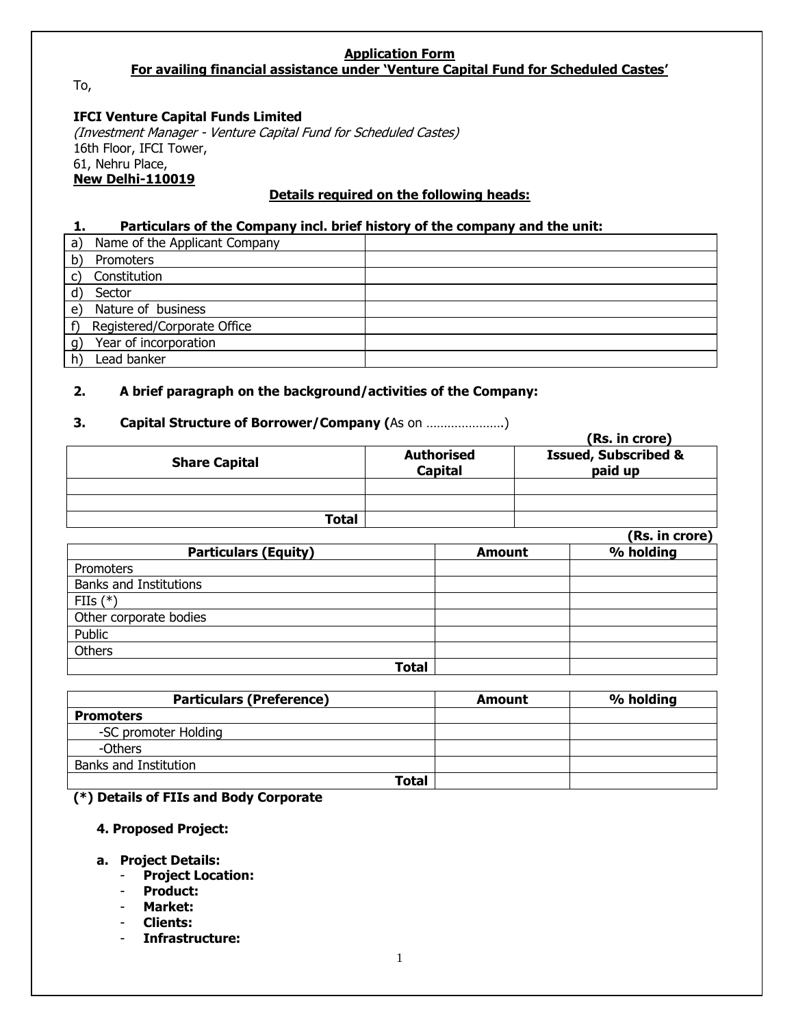# **Application Form**

**For availing financial assistance under 'Venture Capital Fund for Scheduled Castes'**

To,

## **IFCI Venture Capital Funds Limited**

(Investment Manager - Venture Capital Fund for Scheduled Castes) 16th Floor, IFCI Tower, 61, Nehru Place, **New Delhi-110019**

### **Details required on the following heads:**

#### **1. Particulars of the Company incl. brief history of the company and the unit:**

| a)            | Name of the Applicant Company |  |
|---------------|-------------------------------|--|
| b)            | Promoters                     |  |
| $\mathcal{C}$ | Constitution                  |  |
| d)            | Sector                        |  |
| e)            | Nature of business            |  |
|               | Registered/Corporate Office   |  |
|               | Year of incorporation         |  |
|               | Lead banker                   |  |

## **2. A brief paragraph on the background/activities of the Company:**

# **3. Capital Structure of Borrower/Company (**As on ………………….)

| . .<br>.             |                              | (Rs. in crore)                             |
|----------------------|------------------------------|--------------------------------------------|
| <b>Share Capital</b> | <b>Authorised</b><br>Capital | <b>Issued, Subscribed &amp;</b><br>paid up |
|                      |                              |                                            |
|                      |                              |                                            |
| Total                |                              |                                            |
|                      |                              | (Rs. in crore)                             |
| -- - -<br>___        |                              | _ _ _ _ _                                  |

| <b>Particulars (Equity)</b>   | <b>Amount</b> | % holding |
|-------------------------------|---------------|-----------|
| Promoters                     |               |           |
| <b>Banks and Institutions</b> |               |           |
| FIIs $(*)$                    |               |           |
| Other corporate bodies        |               |           |
| Public                        |               |           |
| Others                        |               |           |
| Total                         |               |           |

| <b>Particulars (Preference)</b> | Amount | % holding |
|---------------------------------|--------|-----------|
| <b>Promoters</b>                |        |           |
| -SC promoter Holding            |        |           |
| -Others                         |        |           |
| <b>Banks and Institution</b>    |        |           |
| Total                           |        |           |

#### **(\*) Details of FIIs and Body Corporate**

### **4. Proposed Project:**

#### **a. Project Details:**

- **Project Location:**
- **Product:**
- **Market:**
- **Clients:**
- **Infrastructure:**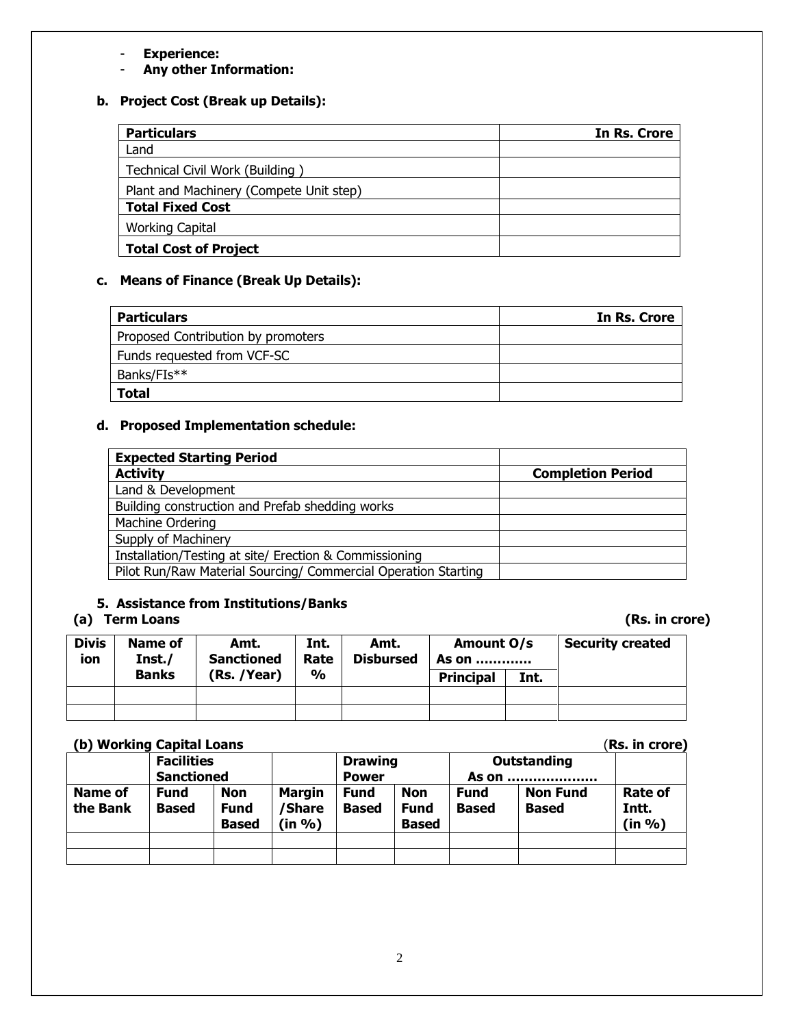- **Experience:**
- **Any other Information:**

# **b. Project Cost (Break up Details):**

| <b>Particulars</b>                      | In Rs. Crore |  |  |  |
|-----------------------------------------|--------------|--|--|--|
| Land                                    |              |  |  |  |
| Technical Civil Work (Building)         |              |  |  |  |
| Plant and Machinery (Compete Unit step) |              |  |  |  |
| <b>Total Fixed Cost</b>                 |              |  |  |  |
| <b>Working Capital</b>                  |              |  |  |  |
| <b>Total Cost of Project</b>            |              |  |  |  |

# **c. Means of Finance (Break Up Details):**

| <b>Particulars</b>                 | In Rs. Crore |
|------------------------------------|--------------|
| Proposed Contribution by promoters |              |
| Funds requested from VCF-SC        |              |
| Banks/FIs**                        |              |
| <b>Total</b>                       |              |

# **d. Proposed Implementation schedule:**

| <b>Expected Starting Period</b>                                |                          |
|----------------------------------------------------------------|--------------------------|
| <b>Activity</b>                                                | <b>Completion Period</b> |
| Land & Development                                             |                          |
| Building construction and Prefab shedding works                |                          |
| Machine Ordering                                               |                          |
| Supply of Machinery                                            |                          |
| Installation/Testing at site/ Erection & Commissioning         |                          |
| Pilot Run/Raw Material Sourcing/ Commercial Operation Starting |                          |

# **5. Assistance from Institutions/Banks**

# **(a) Term Loans (Rs. in crore)**

| <b>Divis</b><br>ion | Name of<br>Inst./ | Amt.<br><b>Sanctioned</b> | Int.<br>Rate  | Amt.<br><b>Disbursed</b> | Amount O/s<br><b>As on </b> |      | <b>Security created</b> |
|---------------------|-------------------|---------------------------|---------------|--------------------------|-----------------------------|------|-------------------------|
|                     | <b>Banks</b>      | (Rs. /Year)               | $\frac{0}{0}$ |                          | <b>Principal</b>            | Int. |                         |
|                     |                   |                           |               |                          |                             |      |                         |
|                     |                   |                           |               |                          |                             |      |                         |

### **(b) Working Capital Loans** (**Rs. in crore)**

| .<br>.<br>********************* |                   |              |                |              |              |              | .               |                |
|---------------------------------|-------------------|--------------|----------------|--------------|--------------|--------------|-----------------|----------------|
|                                 | <b>Facilities</b> |              | <b>Drawing</b> |              | Outstanding  |              |                 |                |
|                                 | <b>Sanctioned</b> |              |                | <b>Power</b> |              | As on        |                 |                |
| <b>Name of</b>                  | <b>Fund</b>       | <b>Non</b>   | <b>Margin</b>  | Fund         | Non          | <b>Fund</b>  | <b>Non Fund</b> | <b>Rate of</b> |
| the Bank                        | Based             | <b>Fund</b>  | 'Share         | <b>Based</b> | Fund         | <b>Based</b> | <b>Based</b>    | Intt.          |
|                                 |                   | <b>Based</b> | (in %)         |              | <b>Based</b> |              |                 | (in %)         |
|                                 |                   |              |                |              |              |              |                 |                |
|                                 |                   |              |                |              |              |              |                 |                |